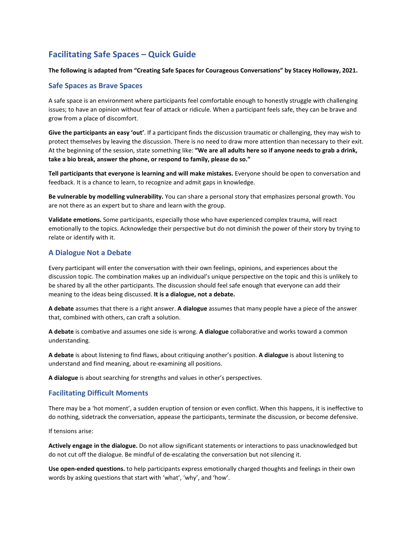# **Facilitating Safe Spaces – Quick Guide**

#### **The following is adapted from "Creating Safe Spaces for Courageous Conversations" by Stacey Holloway, 2021.**

## **Safe Spaces as Brave Spaces**

A safe space is an environment where participants feel comfortable enough to honestly struggle with challenging issues; to have an opinion without fear of attack or ridicule. When a participant feels safe, they can be brave and grow from a place of discomfort.

**Give the participants an easy 'out'**. If a participant finds the discussion traumatic or challenging, they may wish to protect themselves by leaving the discussion. There is no need to draw more attention than necessary to their exit. At the beginning of the session, state something like: **"We are all adults here so if anyone needs to grab a drink, take a bio break, answer the phone, or respond to family, please do so."**

**Tell participants that everyone is learning and will make mistakes.** Everyone should be open to conversation and feedback. It is a chance to learn, to recognize and admit gaps in knowledge.

**Be vulnerable by modelling vulnerability.** You can share a personal story that emphasizes personal growth. You are not there as an expert but to share and learn with the group.

**Validate emotions.** Some participants, especially those who have experienced complex trauma, will react emotionally to the topics. Acknowledge their perspective but do not diminish the power of their story by trying to relate or identify with it.

## **A Dialogue Not a Debate**

Every participant will enter the conversation with their own feelings, opinions, and experiences about the discussion topic. The combination makes up an individual's unique perspective on the topic and this is unlikely to be shared by all the other participants. The discussion should feel safe enough that everyone can add their meaning to the ideas being discussed. **It is a dialogue, not a debate.**

**A debate** assumes that there is a right answer. **A dialogue** assumes that many people have a piece of the answer that, combined with others, can craft a solution.

**A debate** is combative and assumes one side is wrong. **A dialogue** collaborative and works toward a common understanding.

**A debate** is about listening to find flaws, about critiquing another's position. **A dialogue** is about listening to understand and find meaning, about re-examining all positions.

**A dialogue** is about searching for strengths and values in other's perspectives.

#### **Facilitating Difficult Moments**

There may be a 'hot moment', a sudden eruption of tension or even conflict. When this happens, it is ineffective to do nothing, sidetrack the conversation, appease the participants, terminate the discussion, or become defensive.

If tensions arise:

**Actively engage in the dialogue.** Do not allow significant statements or interactions to pass unacknowledged but do not cut off the dialogue. Be mindful of de-escalating the conversation but not silencing it.

**Use open-ended questions.** to help participants express emotionally charged thoughts and feelings in their own words by asking questions that start with 'what', 'why', and 'how'.